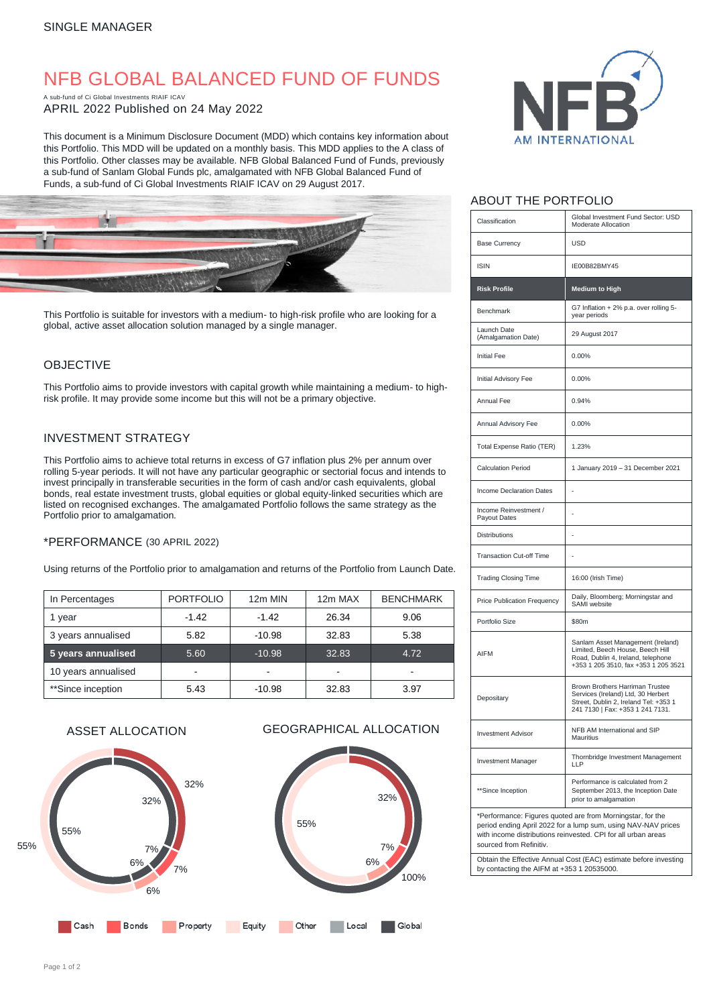# NFB GLOBAL BALANCED FUND OF FUNDS

A sub-fund of Ci Global Investments RIAIF ICAV APRIL 2022 Published on 24 May 2022

This document is a Minimum Disclosure Document (MDD) which contains key information about this Portfolio. This MDD will be updated on a monthly basis. This MDD applies to the A class of this Portfolio. Other classes may be available. NFB Global Balanced Fund of Funds, previously a sub-fund of Sanlam Global Funds plc, amalgamated with NFB Global Balanced Fund of Funds, a sub-fund of Ci Global Investments RIAIF ICAV on 29 August 2017.



This Portfolio is suitable for investors with a medium- to high-risk profile who are looking for a global, active asset allocation solution managed by a single manager.

## OBJECTIVE

This Portfolio aims to provide investors with capital growth while maintaining a medium- to highrisk profile. It may provide some income but this will not be a primary objective.

# INVESTMENT STRATEGY

This Portfolio aims to achieve total returns in excess of G7 inflation plus 2% per annum over rolling 5-year periods. It will not have any particular geographic or sectorial focus and intends to invest principally in transferable securities in the form of cash and/or cash equivalents, global bonds, real estate investment trusts, global equities or global equity-linked securities which are listed on recognised exchanges. The amalgamated Portfolio follows the same strategy as the Portfolio prior to amalgamation.

#### \*PERFORMANCE (30 APRIL 2022)

Using returns of the Portfolio prior to amalgamation and returns of the Portfolio from Launch Date.

| In Percentages      | <b>PORTFOLIO</b> | 12m MIN  | 12m MAX | <b>BENCHMARK</b> |
|---------------------|------------------|----------|---------|------------------|
| 1 year              | $-1.42$          | $-1.42$  | 26.34   | 9.06             |
| 3 years annualised  | 5.82             | $-10.98$ | 32.83   | 5.38             |
| 5 years annualised  | 5.60             | $-10.98$ | 32.83   | 4.72             |
| 10 years annualised |                  |          |         |                  |
| **Since inception   | 5.43             | $-10.98$ | 32.83   | 3.97             |

# ASSET ALLOCATION GEOGRAPHICAL ALLOCATION





### ABOUT THE PORTFOLIO

| Classification                                                                                                              | Global Investment Fund Sector: USD<br>Moderate Allocation                                                                                           |  |  |
|-----------------------------------------------------------------------------------------------------------------------------|-----------------------------------------------------------------------------------------------------------------------------------------------------|--|--|
| <b>Base Currency</b>                                                                                                        | <b>USD</b>                                                                                                                                          |  |  |
| <b>ISIN</b>                                                                                                                 | IE00B82BMY45                                                                                                                                        |  |  |
| <b>Risk Profile</b>                                                                                                         | <b>Medium to High</b>                                                                                                                               |  |  |
| Benchmark                                                                                                                   | G7 Inflation + 2% p.a. over rolling 5-<br>year periods                                                                                              |  |  |
| Launch Date<br>(Amalgamation Date)                                                                                          | 29 August 2017                                                                                                                                      |  |  |
| <b>Initial Fee</b>                                                                                                          | 0.00%                                                                                                                                               |  |  |
| Initial Advisory Fee                                                                                                        | 0.00%                                                                                                                                               |  |  |
| Annual Fee                                                                                                                  | 0.94%                                                                                                                                               |  |  |
| Annual Advisory Fee                                                                                                         | 0.00%                                                                                                                                               |  |  |
| Total Expense Ratio (TER)                                                                                                   | 1.23%                                                                                                                                               |  |  |
| <b>Calculation Period</b>                                                                                                   | 1 January 2019 - 31 December 2021                                                                                                                   |  |  |
| <b>Income Declaration Dates</b>                                                                                             |                                                                                                                                                     |  |  |
| Income Reinvestment /<br>Payout Dates                                                                                       |                                                                                                                                                     |  |  |
| <b>Distributions</b>                                                                                                        |                                                                                                                                                     |  |  |
| <b>Transaction Cut-off Time</b>                                                                                             |                                                                                                                                                     |  |  |
| <b>Trading Closing Time</b>                                                                                                 | 16:00 (Irish Time)                                                                                                                                  |  |  |
| Price Publication Frequency                                                                                                 | Daily, Bloomberg; Morningstar and<br>SAMI website                                                                                                   |  |  |
| Portfolio Size                                                                                                              | \$80m                                                                                                                                               |  |  |
| <b>AIFM</b>                                                                                                                 | Sanlam Asset Management (Ireland)<br>Limited, Beech House, Beech Hill<br>Road, Dublin 4, Ireland, telephone<br>+353 1 205 3510, fax +353 1 205 3521 |  |  |
| Depositary                                                                                                                  | Brown Brothers Harriman Trustee<br>Services (Ireland) Ltd, 30 Herbert<br>Street, Dublin 2, Ireland Tel: +353 1<br>241 7130   Fax: +353 1 241 7131.  |  |  |
| <b>Investment Advisor</b>                                                                                                   | NFB AM International and SIP<br><b>Mauritius</b>                                                                                                    |  |  |
| <b>Investment Manager</b>                                                                                                   | Thornbridge Investment Management<br>LLP                                                                                                            |  |  |
| **Since Inception                                                                                                           | Performance is calculated from 2<br>September 2013, the Inception Date<br>prior to amalgamation                                                     |  |  |
| *Performance: Figures quoted are from Morningstar, for the<br>period ending April 2022 for a lump sum, using NAV-NAV prices |                                                                                                                                                     |  |  |

with income distributions reinvested. CPI for all urban areas sourced from Refinitiv

Obtain the Effective Annual Cost (EAC) estimate before investing by contacting the AIFM at +353 1 20535000.

100%